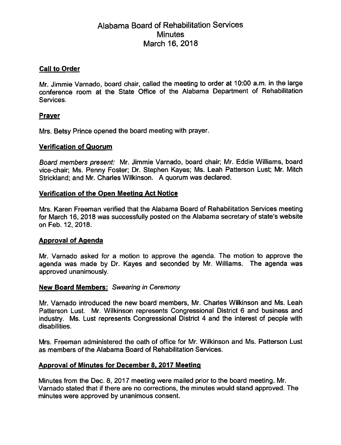# Alabama Board of Rehabilitation Services **Minutes** March 16, 2018

# Call to Order

Mr. Jimmie Varnado, board chair, called the meeting to order at 10:00 a.m. In the large conference room at the State Office of the Alabama Department of Rehabilitation Services.

# Prayer

Mrs. Betsy Prince opened the board meeting with prayer.

# Verification of Quorum

Board members present: Mr. Jimmie Varnado, board chair; Mr. Eddie Williams, board vice-chair; Ms. Penny Foster; Dr. Stephen Kayes; Ms. Leah Patterson Lust; Mr. Mitch Strickland; and Mr. Charles Wilkinson. A quorum was declared.

# Verification of the Open Meeting Act Notice

Mrs. Karen Freeman verified that the Alabama Board of Rehabilitation Services meeting for March 16, 2018 was successfully posted on the Alabama secretary of state's website on Feb. 12, 2018.

# Approval of Agenda

Mr. Varnado asked for a motion to approve the agenda. The motion to approve the agenda was made by Dr. Kayes and seconded by Mr. Williams. The agenda was approved unanimously.

#### New Board Members: Swearing in Ceremony

Mr. Varnado introduced the new board members, Mr. Charles Wilkinson and Ms. Leah Patterson Lust. Mr. Wilkinson represents Congressional District 6 and business and industry. Ms. Lust represents Congressional District 4 and the interest of people with disabilities.

Mrs. Freeman administered the oath of office for Mr. Wilkinson and Ms. Patterson Lust as members of the Alabama Board of Rehabilitation Services.

#### Approval of Minutes for December 8. 2017 Meeting

Minutes from the Dec. 8. 2017 meeting were mailed prior to the board meeting. Mr. Varnado stated that if there are no corrections, the minutes would stand approved. The minutes were approved by unanimous consent.